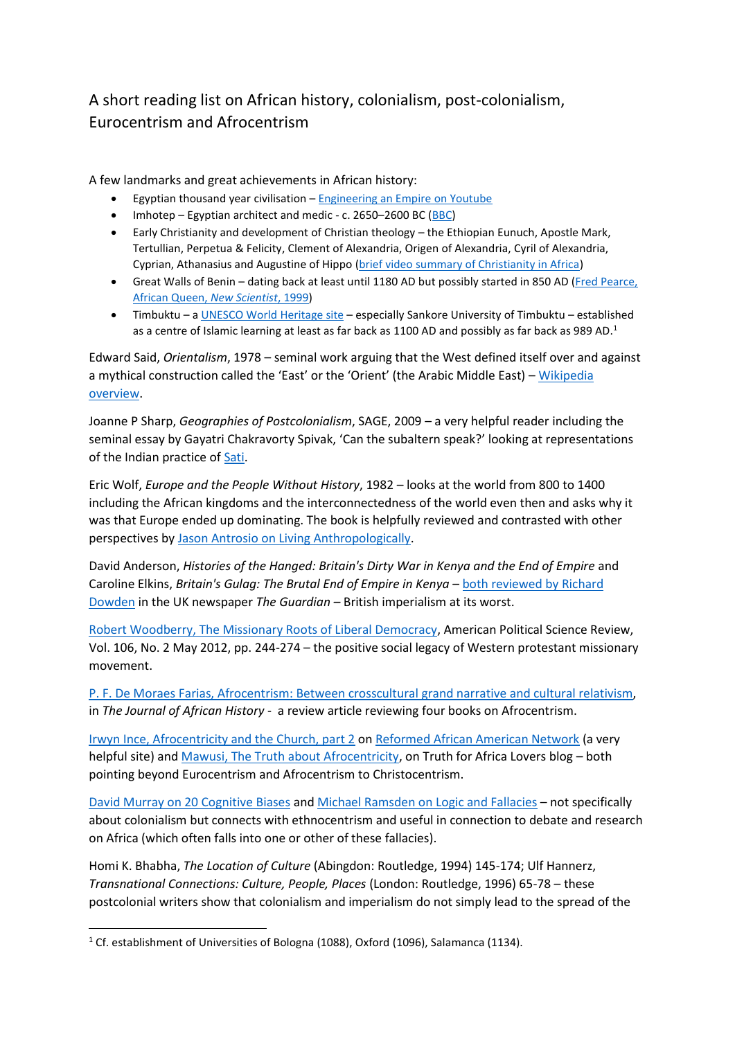## A short reading list on African history, colonialism, post-colonialism, Eurocentrism and Afrocentrism

A few landmarks and great achievements in African history:

- Egyptian thousand year civilisation [Engineering an Empire](https://www.youtube.com/watch?v=44F6G5Ehsls) on Youtube
- Imhotep Egyptian architect and medic c. 2650–2600 BC [\(BBC\)](http://www.bbc.co.uk/history/historic_figures/imhotep.shtml)
- Early Christianity and development of Christian theology the Ethiopian Eunuch, Apostle Mark, Tertullian, Perpetua & Felicity, Clement of Alexandria, Origen of Alexandria, Cyril of Alexandria, Cyprian, Athanasius and Augustine of Hippo [\(brief video summary of Christianity in Africa\)](https://www.youtube.com/watch?v=FV2TkKPUcnY)
- Great Walls of Benin dating back at least until 1180 AD but possibly started in 850 AD (Fred Pearce, [African Queen,](https://www.newscientist.com/article/mg16322035.100-the-african-queen/) *New Scientist*, 1999)
- Timbuktu a [UNESCO World](http://whc.unesco.org/en/list/119) Heritage site especially Sankore University of Timbuktu established as a centre of Islamic learning at least as far back as 1100 AD and possibly as far back as 989 AD. 1

Edward Said, *Orientalism*, 1978 – seminal work arguing that the West defined itself over and against a mythical construction called the 'East' or the 'Orient' (the Arabic Middle East) – Wikipedia [overview.](https://en.wikipedia.org/wiki/Orientalism_(book))

Joanne P Sharp, *Geographies of Postcolonialism*, SAGE, 2009 – a very helpful reader including the seminal essay by Gayatri Chakravorty Spivak, 'Can the subaltern speak?' looking at representations of the Indian practice o[f Sati.](https://en.wikipedia.org/wiki/Sati_(practice))

Eric Wolf, *Europe and the People Without History*, 1982 – looks at the world from 800 to 1400 including the African kingdoms and the interconnectedness of the world even then and asks why it was that Europe ended up dominating. The book is helpfully reviewed and contrasted with other perspectives by [Jason Antrosio on Living Anthropologically.](http://www.livinganthropologically.com/2013/01/26/eric-wolf-europe-and-people-without-history/)

David Anderson, *Histories of the Hanged: Britain's Dirty War in Kenya and the End of Empire* and Caroline Elkins, *Britain's Gulag: The Brutal End of Empire in Kenya* – [both reviewed by Richard](http://www.theguardian.com/books/2005/feb/05/featuresreviews.guardianreview6)  [Dowden](http://www.theguardian.com/books/2005/feb/05/featuresreviews.guardianreview6) in the UK newspaper *The Guardian –* British imperialism at its worst.

[Robert Woodberry, The Missionary Roots of Liberal Democracy,](http://www.hillcountryinstitute.org/wp-content/uploads/missionaryrootsofliberaldemocracy.pdf) American Political Science Review, Vol. 106, No. 2 May 2012, pp. 244-274 – the positive social legacy of Western protestant missionary movement.

P. F. De Moraes Farias, [Afrocentrism: Between crosscultural grand narrative and cultural relativism,](http://journals.cambridge.org/action/displayAbstract?fromPage=online&aid=163453&fileId=S002185370200840X) in *The Journal of African History* - a review article reviewing four books on Afrocentrism.

[Irwyn Ince, Afrocentricity and the Church, part 2](https://www.raanetwork.org/afrocentricity-part-2/) on [Reformed African American Network](https://www.raanetwork.org/) (a very helpful site) and [Mawusi, The Truth about Afrocentricity,](http://truthforafricalovers.com/truth_about_afrocentricity) on Truth for Africa Lovers blog - both pointing beyond Eurocentrism and Afrocentrism to Christocentrism.

[David Murray on 20 Cognitive Biases](http://headhearthand.org/blog/2015/09/22/20-cognitive-biases-that-affect-your-exegesis/) and [Michael Ramsden on Logic and Fallacies](http://www.bethinking.org/apologetics/logic-and-fallacies-thinking-clearly) – not specifically about colonialism but connects with ethnocentrism and useful in connection to debate and research on Africa (which often falls into one or other of these fallacies).

Homi K. Bhabha, *The Location of Culture* (Abingdon: Routledge, 1994) 145-174; Ulf Hannerz, *Transnational Connections: Culture, People, Places* (London: Routledge, 1996) 65-78 – these postcolonial writers show that colonialism and imperialism do not simply lead to the spread of the

**.** 

<sup>1</sup> Cf. establishment of Universities of Bologna (1088), Oxford (1096), Salamanca (1134).